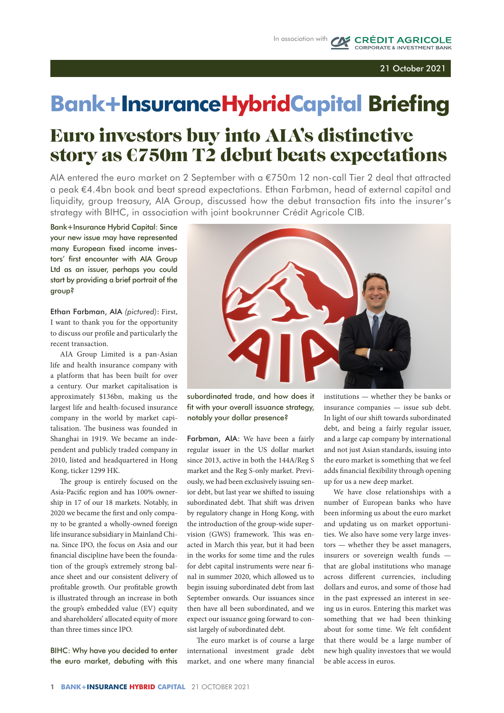CAS CRÉDIT AGRICOLE

# Euro investors buy into AIA's distinctive story as €750m T2 debut beats expectations **Bank**+**InsuranceHybridCapital Briefing**

AIA entered the euro market on 2 September with a €750m 12 non-call Tier 2 deal that attracted a peak €4.4bn book and beat spread expectations. Ethan Farbman, head of external capital and liquidity, group treasury, AIA Group, discussed how the debut transaction fits into the insurer's strategy with BIHC, in association with joint bookrunner Crédit Agricole CIB.

Bank+Insurance Hybrid Capital: Since your new issue may have represented many European fixed income investors' first encounter with AIA Group Ltd as an issuer, perhaps you could start by providing a brief portrait of the group?

Ethan Farbman, AIA *(pictured)*: First, I want to thank you for the opportunity to discuss our profile and particularly the recent transaction.

AIA Group Limited is a pan-Asian life and health insurance company with a platform that has been built for over a century. Our market capitalisation is approximately \$136bn, making us the largest life and health-focused insurance company in the world by market capitalisation. The business was founded in Shanghai in 1919. We became an independent and publicly traded company in 2010, listed and headquartered in Hong Kong, ticker 1299 HK.

The group is entirely focused on the Asia-Pacific region and has 100% ownership in 17 of our 18 markets. Notably, in 2020 we became the first and only company to be granted a wholly-owned foreign life insurance subsidiary in Mainland China. Since IPO, the focus on Asia and our financial discipline have been the foundation of the group's extremely strong balance sheet and our consistent delivery of profitable growth. Our profitable growth is illustrated through an increase in both the group's embedded value (EV) equity and shareholders' allocated equity of more than three times since IPO.

BIHC: Why have you decided to enter the euro market, debuting with this



subordinated trade, and how does it fit with your overall issuance strategy, notably your dollar presence?

Farbman, AIA: We have been a fairly regular issuer in the US dollar market since 2013, active in both the 144A/Reg S market and the Reg S-only market. Previously, we had been exclusively issuing senior debt, but last year we shifted to issuing subordinated debt. That shift was driven by regulatory change in Hong Kong, with the introduction of the group-wide supervision (GWS) framework. This was enacted in March this year, but it had been in the works for some time and the rules for debt capital instruments were near final in summer 2020, which allowed us to begin issuing subordinated debt from last September onwards. Our issuances since then have all been subordinated, and we expect our issuance going forward to consist largely of subordinated debt.

The euro market is of course a large international investment grade debt market, and one where many financial

institutions — whether they be banks or insurance companies — issue sub debt. In light of our shift towards subordinated debt, and being a fairly regular issuer, and a large cap company by international and not just Asian standards, issuing into the euro market is something that we feel adds financial flexibility through opening up for us a new deep market.

We have close relationships with a number of European banks who have been informing us about the euro market and updating us on market opportunities. We also have some very large investors — whether they be asset managers, insurers or sovereign wealth funds that are global institutions who manage across different currencies, including dollars and euros, and some of those had in the past expressed an interest in seeing us in euros. Entering this market was something that we had been thinking about for some time. We felt confident that there would be a large number of new high quality investors that we would be able access in euros.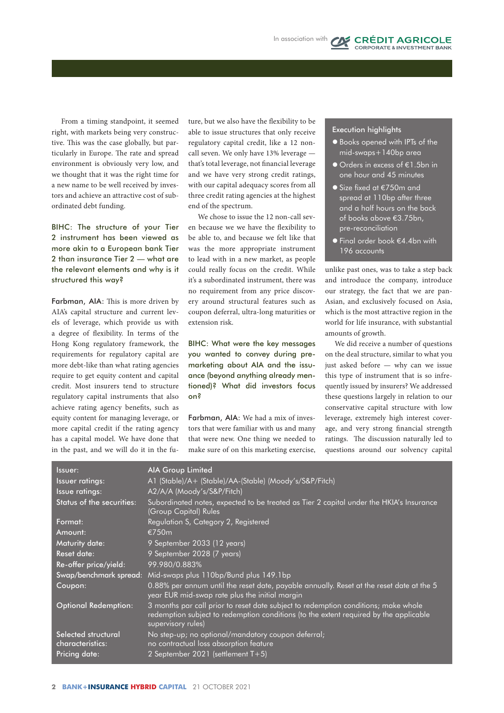From a timing standpoint, it seemed right, with markets being very constructive. This was the case globally, but particularly in Europe. The rate and spread environment is obviously very low, and we thought that it was the right time for a new name to be well received by investors and achieve an attractive cost of subordinated debt funding.

BIHC: The structure of your Tier 2 instrument has been viewed as more akin to a European bank Tier 2 than insurance Tier 2 — what are the relevant elements and why is it structured this way?

Farbman, AIA: This is more driven by AIA's capital structure and current levels of leverage, which provide us with a degree of flexibility. In terms of the Hong Kong regulatory framework, the requirements for regulatory capital are more debt-like than what rating agencies require to get equity content and capital credit. Most insurers tend to structure regulatory capital instruments that also achieve rating agency benefits, such as equity content for managing leverage, or more capital credit if the rating agency has a capital model. We have done that in the past, and we will do it in the future, but we also have the flexibility to be able to issue structures that only receive regulatory capital credit, like a 12 noncall seven. We only have 13% leverage that's total leverage, not financial leverage and we have very strong credit ratings, with our capital adequacy scores from all three credit rating agencies at the highest end of the spectrum.

We chose to issue the 12 non-call seven because we we have the flexibility to be able to, and because we felt like that was the more appropriate instrument to lead with in a new market, as people could really focus on the credit. While it's a subordinated instrument, there was no requirement from any price discovery around structural features such as coupon deferral, ultra-long maturities or extension risk.

BIHC: What were the key messages you wanted to convey during premarketing about AIA and the issuance (beyond anything already mentioned)? What did investors focus on?

Farbman, AIA: We had a mix of investors that were familiar with us and many that were new. One thing we needed to make sure of on this marketing exercise,

#### Execution highlights

**•** Books opened with IPTs of the mid-swaps+140bp area

**CRÉDIT AGRICOLE** RPORATE & INVESTMENT BAN

- Orders in excess of €1.5bn in one hour and 45 minutes
- **•** Size fixed at €750m and spread at 110bp after three and a half hours on the back of books above €3.75bn, pre-reconciliation
- l Final order book €4.4bn with 196 accounts

unlike past ones, was to take a step back and introduce the company, introduce our strategy, the fact that we are pan-Asian, and exclusively focused on Asia, which is the most attractive region in the world for life insurance, with substantial amounts of growth.

We did receive a number of questions on the deal structure, similar to what you just asked before — why can we issue this type of instrument that is so infrequently issued by insurers? We addressed these questions largely in relation to our conservative capital structure with low leverage, extremely high interest coverage, and very strong financial strength ratings. The discussion naturally led to questions around our solvency capital

| Issuer:                                 | <b>AIA Group Limited</b>                                                                                                                                                                          |
|-----------------------------------------|---------------------------------------------------------------------------------------------------------------------------------------------------------------------------------------------------|
| <b>Issuer ratings:</b>                  | A1 (Stable)/A+ (Stable)/AA-(Stable) (Moody's/S&P/Fitch)                                                                                                                                           |
| Issue ratings:                          | A2/A/A (Moody's/S&P/Fitch)                                                                                                                                                                        |
| Status of the securities:               | Subordinated notes, expected to be treated as Tier 2 capital under the HKIA's Insurance<br>(Group Capital) Rules                                                                                  |
| Format:                                 | Regulation S, Category 2, Registered                                                                                                                                                              |
| Amount:                                 | €750m                                                                                                                                                                                             |
| Maturity date:                          | 9 September 2033 (12 years)                                                                                                                                                                       |
| <b>Reset date:</b>                      | 9 September 2028 (7 years)                                                                                                                                                                        |
| Re-offer price/yield:                   | 99.980/0.883%                                                                                                                                                                                     |
|                                         | Swap/benchmark spread: Mid-swaps plus 110bp/Bund plus 149.1bp                                                                                                                                     |
| Coupon:                                 | 0.88% per annum until the reset date, payable annually. Reset at the reset date at the 5<br>year EUR mid-swap rate plus the initial margin                                                        |
| <b>Optional Redemption:</b>             | 3 months par call prior to reset date subject to redemption conditions; make whole<br>redemption subject to redemption conditions (to the extent required by the applicable<br>supervisory rules) |
| Selected structural<br>characteristics: | No step-up; no optional/mandatory coupon deferral;<br>no contractual loss absorption feature                                                                                                      |
| Pricing date:                           | 2 September 2021 (settlement $T+5$ )                                                                                                                                                              |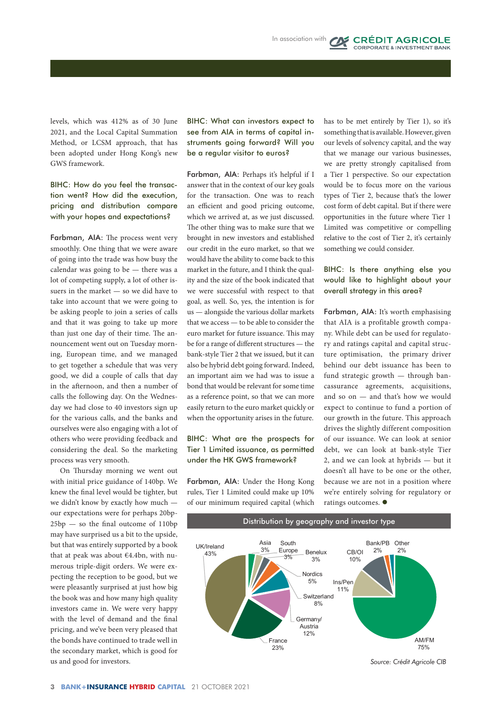levels, which was 412% as of 30 June 2021, and the Local Capital Summation Method, or LCSM approach, that has been adopted under Hong Kong's new GWS framework.

### BIHC: How do you feel the transaction went? How did the execution, pricing and distribution compare with your hopes and expectations?

Farbman, AIA: The process went very smoothly. One thing that we were aware of going into the trade was how busy the calendar was going to be — there was a lot of competing supply, a lot of other issuers in the market — so we did have to take into account that we were going to be asking people to join a series of calls and that it was going to take up more than just one day of their time. The announcement went out on Tuesday morning, European time, and we managed to get together a schedule that was very good, we did a couple of calls that day in the afternoon, and then a number of calls the following day. On the Wednesday we had close to 40 investors sign up for the various calls, and the banks and ourselves were also engaging with a lot of others who were providing feedback and considering the deal. So the marketing process was very smooth.

On Thursday morning we went out with initial price guidance of 140bp. We knew the final level would be tighter, but we didn't know by exactly how much our expectations were for perhaps 20bp-25bp — so the final outcome of 110bp may have surprised us a bit to the upside, but that was entirely supported by a book that at peak was about €4.4bn, with numerous triple-digit orders. We were expecting the reception to be good, but we were pleasantly surprised at just how big the book was and how many high quality investors came in. We were very happy with the level of demand and the final pricing, and we've been very pleased that the bonds have continued to trade well in the secondary market, which is good for us and good for investors.

BIHC: What can investors expect to see from AIA in terms of capital instruments going forward? Will you be a regular visitor to euros?

Farbman, AIA: Perhaps it's helpful if I answer that in the context of our key goals for the transaction. One was to reach an efficient and good pricing outcome, which we arrived at, as we just discussed. The other thing was to make sure that we brought in new investors and established our credit in the euro market, so that we would have the ability to come back to this market in the future, and I think the quality and the size of the book indicated that we were successful with respect to that goal, as well. So, yes, the intention is for us — alongside the various dollar markets that we access — to be able to consider the euro market for future issuance. This may be for a range of different structures — the bank-style Tier 2 that we issued, but it can also be hybrid debt going forward. Indeed, an important aim we had was to issue a bond that would be relevant for some time as a reference point, so that we can more easily return to the euro market quickly or when the opportunity arises in the future.

## BIHC: What are the prospects for Tier 1 Limited issuance, as permitted under the HK GWS framework?

Farbman, AIA: Under the Hong Kong rules, Tier 1 Limited could make up 10% of our minimum required capital (which

has to be met entirely by Tier 1), so it's something that is available. However, given our levels of solvency capital, and the way that we manage our various businesses, we are pretty strongly capitalised from a Tier 1 perspective. So our expectation would be to focus more on the various types of Tier 2, because that's the lower cost form of debt capital. But if there were opportunities in the future where Tier 1 Limited was competitive or compelling relative to the cost of Tier 2, it's certainly something we could consider.

**CRÉDIT AGRICOLE** CORPORATE & INVESTMENT BAN

#### BIHC: Is there anything else you would like to highlight about your overall strategy in this area?

Farbman, AIA: It's worth emphasising that AIA is a profitable growth company. While debt can be used for regulatory and ratings capital and capital structure optimisation, the primary driver behind our debt issuance has been to fund strategic growth — through bancassurance agreements, acquisitions, and so on — and that's how we would expect to continue to fund a portion of our growth in the future. This approach drives the slightly different composition of our issuance. We can look at senior debt, we can look at bank-style Tier  $2$ , and we can look at hybrids  $-$  but it doesn't all have to be one or the other, because we are not in a position where we're entirely solving for regulatory or ratings outcomes.  $\bullet$ s area



Distribution by geography and investor type

*Source: Crédit Agricole CIB*